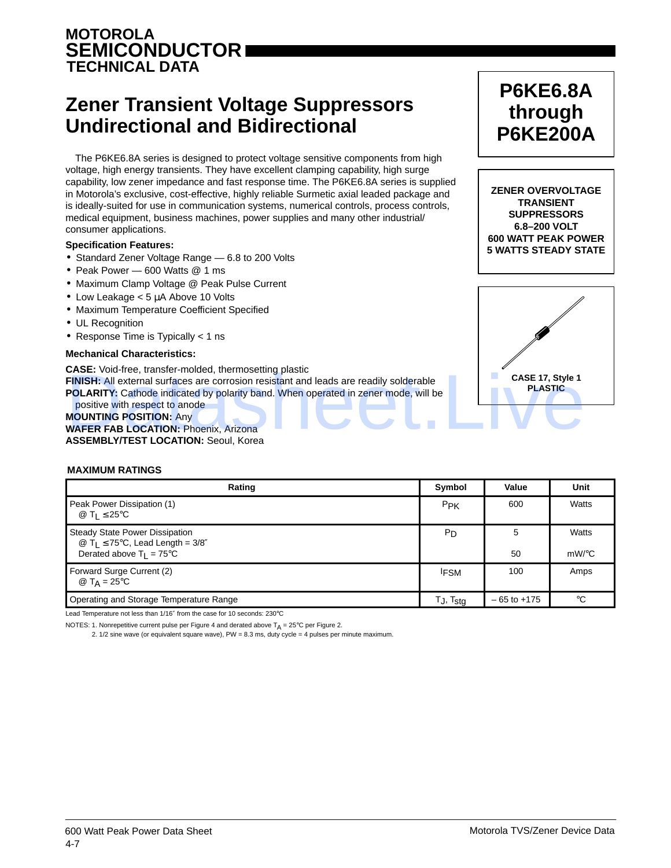# **MOTOROLA SEMICONDUCTOR TECHNICAL DATA**

# **Zener Transient Voltage Suppressors Undirectional and Bidirectional**

The P6KE6.8A series is designed to protect voltage sensitive components from high voltage, high energy transients. They have excellent clamping capability, high surge capability, low zener impedance and fast response time. The P6KE6.8A series is supplied in Motorola's exclusive, cost-effective, highly reliable Surmetic axial leaded package and is ideally-suited for use in communication systems, numerical controls, process controls, medical equipment, business machines, power supplies and many other industrial/ consumer applications.

## **Specification Features:**

- Standard Zener Voltage Range 6.8 to 200 Volts
- Peak Power 600 Watts @ 1 ms
- Maximum Clamp Voltage @ Peak Pulse Current
- Low Leakage < 5 µA Above 10 Volts
- Maximum Temperature Coefficient Specified
- UL Recognition
- Response Time is Typically  $<$  1 ns

#### **Mechanical Characteristics:**

**CASE:** Void-free, transfer-molded, thermosetting plastic **FINISH:** All external surfaces are corrosion resistant and leads are readily solderable **POLARITY:** Cathode indicated by polarity band. When operated in zener mode, will be positive with respect to anode CASE: Void-free, transfer-molded, thermosetting plastic<br>
FINISH: All external surfaces are corrosion resistant and leads are readily solderable<br>
POLARITY: Cathode indicated by polarity band. When operated in zener mode, wi

**MOUNTING POSITION:** Any **WAFER FAB LOCATION: Phoenix, Arizona ASSEMBLY/TEST LOCATION:** Seoul, Korea

## **MAXIMUM RATINGS**

| Rating                                                                                                                                         | Symbol                | Value           | Unit              |
|------------------------------------------------------------------------------------------------------------------------------------------------|-----------------------|-----------------|-------------------|
| Peak Power Dissipation (1)<br>@ T <sub>I</sub> $\leq$ 25°C                                                                                     | P <sub>PK</sub>       | 600             | Watts             |
| <b>Steady State Power Dissipation</b><br>$\textcircled{a}$ T <sub>L</sub> $\leq$ 75°C, Lead Length = 3/8"<br>Derated above $T_1 = 75^{\circ}C$ | <b>P<sub>D</sub></b>  | 5<br>50         | Watts<br>$mW$ /°C |
| Forward Surge Current (2)<br>@ T <sub>A</sub> = 25°C                                                                                           | <b>IFSM</b>           | 100             | Amps              |
| Operating and Storage Temperature Range                                                                                                        | T.J, T <sub>stg</sub> | $-65$ to $+175$ | °C                |

Lead Temperature not less than 1/16″ from the case for 10 seconds: 230°C

NOTES: 1. Nonrepetitive current pulse per Figure 4 and derated above  $T_A = 25^{\circ}$ C per Figure 2.

2.  $1/2$  sine wave (or equivalent square wave), PW = 8.3 ms, duty cycle = 4 pulses per minute maximum.



**ZENER OVERVOLTAGE TRANSIENT SUPPRESSORS 6.8–200 VOLT 600 WATT PEAK POWER 5 WATTS STEADY STATE**

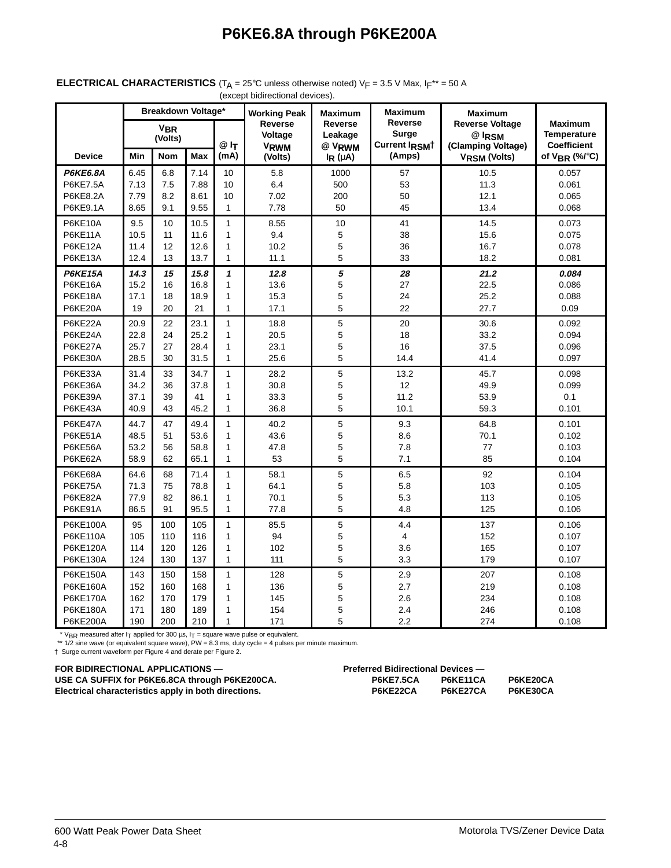#### **ELECTRICAL CHARACTERISTICS**  $(T_A = 25^\circ \text{C}$  unless otherwise noted)  $V_F = 3.5 \text{ V}$  Max,  $I_F^{**} = 50 \text{ A}$ (except bidirectional devices).

|                 |      | Breakdown Voltage*                             |      | (CACCP), Didirection idi devices).<br><b>Working Peak</b> | <b>Maximum</b>                                          | <b>Maximum</b>                               | <b>Maximum</b>                                          |                                                                               |                                                                                         |
|-----------------|------|------------------------------------------------|------|-----------------------------------------------------------|---------------------------------------------------------|----------------------------------------------|---------------------------------------------------------|-------------------------------------------------------------------------------|-----------------------------------------------------------------------------------------|
| <b>Device</b>   | Min  | <b>V<sub>BR</sub></b><br>(Volts)<br><b>Nom</b> | Max  | @ 斤<br>(mA)                                               | Reverse<br>Voltage<br><b>V<sub>RWM</sub></b><br>(Volts) | Reverse<br>Leakage<br>@ VRWM<br>$I_R(\mu A)$ | Reverse<br>Surge<br>Current IRSM <sup>+</sup><br>(Amps) | <b>Reverse Voltage</b><br>@ IRSM<br>(Clamping Voltage)<br><b>VRSM (Volts)</b> | <b>Maximum</b><br><b>Temperature</b><br><b>Coefficient</b><br>of V <sub>BR</sub> (%/°C) |
| P6KE6.8A        | 6.45 | 6.8                                            | 7.14 | 10                                                        | 5.8                                                     | 1000                                         | 57                                                      | 10.5                                                                          | 0.057                                                                                   |
| <b>P6KE7.5A</b> | 7.13 | 7.5                                            | 7.88 | 10                                                        | 6.4                                                     | 500                                          | 53                                                      | 11.3                                                                          | 0.061                                                                                   |
| <b>P6KE8.2A</b> | 7.79 | 8.2                                            | 8.61 | 10                                                        | 7.02                                                    | 200                                          | 50                                                      | 12.1                                                                          | 0.065                                                                                   |
| <b>P6KE9.1A</b> | 8.65 | 9.1                                            | 9.55 | 1                                                         | 7.78                                                    | 50                                           | 45                                                      | 13.4                                                                          | 0.068                                                                                   |
| <b>P6KE10A</b>  | 9.5  | 10                                             | 10.5 | $\mathbf{1}$                                              | 8.55                                                    | 10                                           | 41                                                      | 14.5                                                                          | 0.073                                                                                   |
| P6KE11A         | 10.5 | 11                                             | 11.6 | 1                                                         | 9.4                                                     | 5                                            | 38                                                      | 15.6                                                                          | 0.075                                                                                   |
| P6KE12A         | 11.4 | 12                                             | 12.6 | $\mathbf{1}$                                              | 10.2                                                    | 5                                            | 36                                                      | 16.7                                                                          | 0.078                                                                                   |
| P6KE13A         | 12.4 | 13                                             | 13.7 | $\mathbf{1}$                                              | 11.1                                                    | 5                                            | 33                                                      | 18.2                                                                          | 0.081                                                                                   |
| P6KE15A         | 14.3 | 15                                             | 15.8 | 1                                                         | 12.8                                                    | 5                                            | 28                                                      | 21.2                                                                          | 0.084                                                                                   |
| P6KE16A         | 15.2 | 16                                             | 16.8 | $\mathbf{1}$                                              | 13.6                                                    | 5                                            | 27                                                      | 22.5                                                                          | 0.086                                                                                   |
| P6KE18A         | 17.1 | 18                                             | 18.9 | $\mathbf{1}$                                              | 15.3                                                    | 5                                            | 24                                                      | 25.2                                                                          | 0.088                                                                                   |
| P6KE20A         | 19   | 20                                             | 21   | $\mathbf{1}$                                              | 17.1                                                    | 5                                            | 22                                                      | 27.7                                                                          | 0.09                                                                                    |
| P6KE22A         | 20.9 | 22                                             | 23.1 | $\mathbf{1}$                                              | 18.8                                                    | 5                                            | 20                                                      | 30.6                                                                          | 0.092                                                                                   |
| P6KE24A         | 22.8 | 24                                             | 25.2 | $\mathbf{1}$                                              | 20.5                                                    | 5                                            | 18                                                      | 33.2                                                                          | 0.094                                                                                   |
| P6KE27A         | 25.7 | 27                                             | 28.4 | $\mathbf{1}$                                              | 23.1                                                    | 5                                            | 16                                                      | 37.5                                                                          | 0.096                                                                                   |
| P6KE30A         | 28.5 | 30                                             | 31.5 | $\mathbf{1}$                                              | 25.6                                                    | 5                                            | 14.4                                                    | 41.4                                                                          | 0.097                                                                                   |
| P6KE33A         | 31.4 | 33                                             | 34.7 | $\mathbf{1}$                                              | 28.2                                                    | 5                                            | 13.2                                                    | 45.7                                                                          | 0.098                                                                                   |
| P6KE36A         | 34.2 | 36                                             | 37.8 | $\mathbf{1}$                                              | 30.8                                                    | 5                                            | 12                                                      | 49.9                                                                          | 0.099                                                                                   |
| P6KE39A         | 37.1 | 39                                             | 41   | $\mathbf{1}$                                              | 33.3                                                    | 5                                            | 11.2                                                    | 53.9                                                                          | 0.1                                                                                     |
| P6KE43A         | 40.9 | 43                                             | 45.2 | $\mathbf{1}$                                              | 36.8                                                    | 5                                            | 10.1                                                    | 59.3                                                                          | 0.101                                                                                   |
| P6KE47A         | 44.7 | 47                                             | 49.4 | $\mathbf{1}$                                              | 40.2                                                    | 5                                            | 9.3                                                     | 64.8                                                                          | 0.101                                                                                   |
| P6KE51A         | 48.5 | 51                                             | 53.6 | $\mathbf{1}$                                              | 43.6                                                    | 5                                            | 8.6                                                     | 70.1                                                                          | 0.102                                                                                   |
| P6KE56A         | 53.2 | 56                                             | 58.8 | $\mathbf{1}$                                              | 47.8                                                    | 5                                            | 7.8                                                     | $77 \,$                                                                       | 0.103                                                                                   |
| P6KE62A         | 58.9 | 62                                             | 65.1 | $\mathbf{1}$                                              | 53                                                      | 5                                            | 7.1                                                     | 85                                                                            | 0.104                                                                                   |
| P6KE68A         | 64.6 | 68                                             | 71.4 | $\mathbf{1}$                                              | 58.1                                                    | 5                                            | 6.5                                                     | 92                                                                            | 0.104                                                                                   |
| P6KE75A         | 71.3 | 75                                             | 78.8 | $\mathbf{1}$                                              | 64.1                                                    | 5                                            | 5.8                                                     | 103                                                                           | 0.105                                                                                   |
| P6KE82A         | 77.9 | 82                                             | 86.1 | $\mathbf{1}$                                              | 70.1                                                    | 5                                            | 5.3                                                     | 113                                                                           | 0.105                                                                                   |
| P6KE91A         | 86.5 | 91                                             | 95.5 | $\mathbf{1}$                                              | 77.8                                                    | 5                                            | 4.8                                                     | 125                                                                           | 0.106                                                                                   |
| P6KE100A        | 95   | 100                                            | 105  | $\mathbf{1}$                                              | 85.5                                                    | 5                                            | 4.4                                                     | 137                                                                           | 0.106                                                                                   |
| <b>P6KE110A</b> | 105  | 110                                            | 116  | $\mathbf{1}$                                              | 94                                                      | 5                                            | $\overline{4}$                                          | 152                                                                           | 0.107                                                                                   |
| P6KE120A        | 114  | 120                                            | 126  | 1                                                         | 102                                                     | 5                                            | 3.6                                                     | 165                                                                           | 0.107                                                                                   |
| P6KE130A        | 124  | 130                                            | 137  | $\mathbf{1}$                                              | 111                                                     | 5                                            | 3.3                                                     | 179                                                                           | 0.107                                                                                   |
| <b>P6KE150A</b> | 143  | 150                                            | 158  | 1                                                         | 128                                                     | 5                                            | 2.9                                                     | 207                                                                           | 0.108                                                                                   |
| P6KE160A        | 152  | 160                                            | 168  | $\mathbf{1}$                                              | 136                                                     | 5                                            | 2.7                                                     | 219                                                                           | 0.108                                                                                   |
| <b>P6KE170A</b> | 162  | 170                                            | 179  | 1                                                         | 145                                                     | 5                                            | 2.6                                                     | 234                                                                           | 0.108                                                                                   |
| <b>P6KE180A</b> | 171  | 180                                            | 189  | $\mathbf{1}$                                              | 154                                                     | 5                                            | 2.4                                                     | 246                                                                           | 0.108                                                                                   |
| <b>P6KE200A</b> | 190  | 200                                            | 210  | 1                                                         | 171                                                     | 5                                            | 2.2                                                     | 274                                                                           | 0.108                                                                                   |

\*  $V_{\text{BR}}$  measured after  $I_T$  applied for 300 µs,  $I_T$  = square wave pulse or equivalent.<br>\*\* 1/2 sine wave (or equivalent square wave), PW = 8.3 ms, duty cycle = 4 pulses per minute maximum.

Surge current waveform per Figure 4 and derate per Figure 2.\*

**FOR BIDIRECTIONAL APPLICATIONS —** 

| USE CA SUFFIX for P6KE6.8CA through P6KE200CA.      | <b>P6KE7.5CA</b> | P6KE11CA        | P6KE20CA        |
|-----------------------------------------------------|------------------|-----------------|-----------------|
| Electrical characteristics annly in both directions | <b>DAKE??CA</b>  | <b>DEKE27CA</b> | <b>DEKE30CA</b> |

| FOR BIDIRECTIONAL APPLICATIONS —                     | <b>Preferred Bidirectional Devices —</b> |                 |                 |
|------------------------------------------------------|------------------------------------------|-----------------|-----------------|
| USE CA SUFFIX for P6KE6.8CA through P6KE200CA.       | <b>P6KE7.5CA</b>                         | P6KE11CA        | P6KE20CA        |
| Electrical characteristics apply in both directions. | P6KE22CA                                 | <b>P6KE27CA</b> | <b>P6KE30CA</b> |
|                                                      |                                          |                 |                 |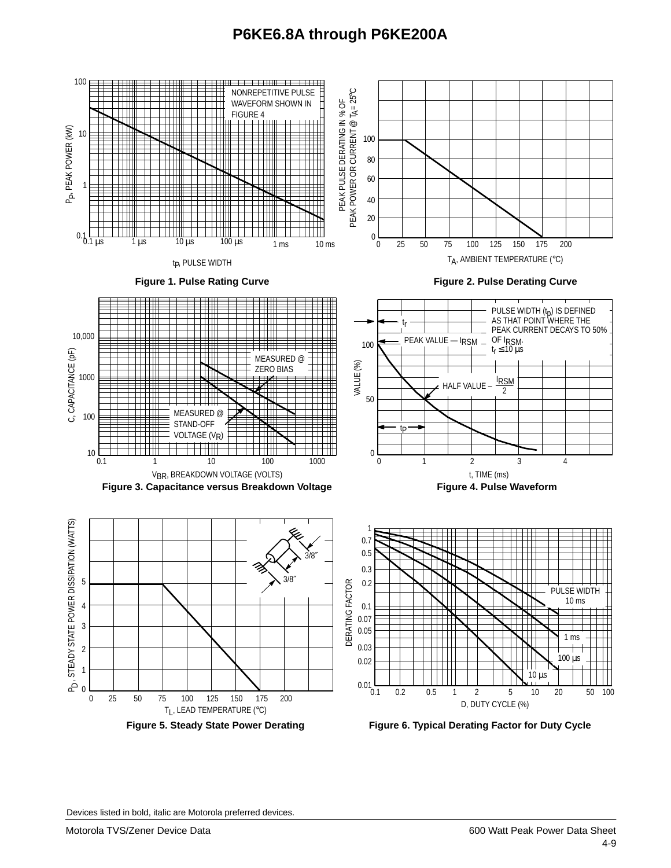

Devices listed in bold, italic are Motorola preferred devices.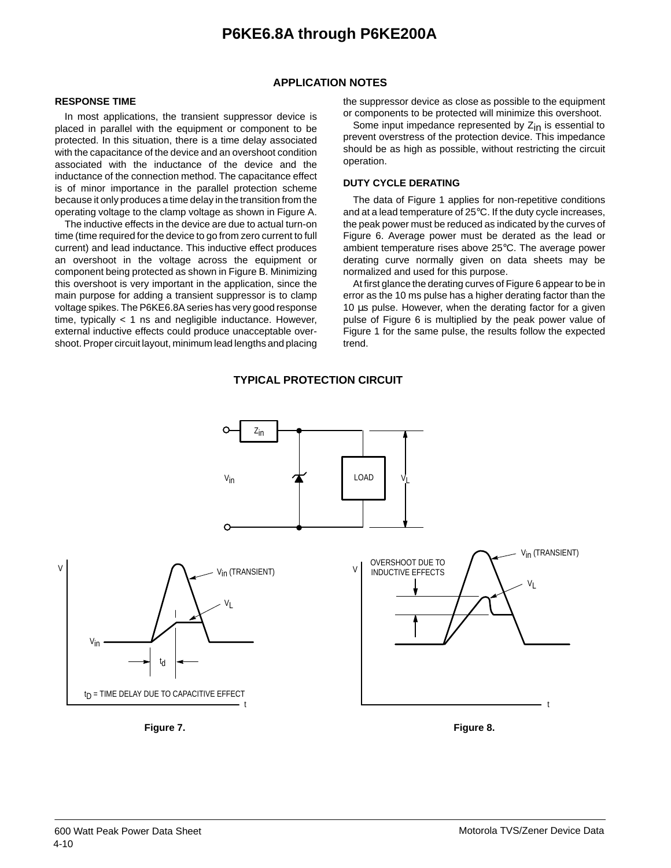## **APPLICATION NOTES**

#### **RESPONSE TIME**

In most applications, the transient suppressor device is placed in parallel with the equipment or component to be protected. In this situation, there is a time delay associated with the capacitance of the device and an overshoot condition associated with the inductance of the device and the inductance of the connection method. The capacitance effect is of minor importance in the parallel protection scheme because it only produces a time delay in the transition from the operating voltage to the clamp voltage as shown in Figure A.

The inductive effects in the device are due to actual turn-on time (time required for the device to go from zero current to full current) and lead inductance. This inductive effect produces an overshoot in the voltage across the equipment or component being protected as shown in Figure B. Minimizing this overshoot is very important in the application, since the main purpose for adding a transient suppressor is to clamp voltage spikes. The P6KE6.8A series has very good response time, typically < 1 ns and negligible inductance. However, external inductive effects could produce unacceptable overshoot. Proper circuit layout, minimum lead lengths and placing

the suppressor device as close as possible to the equipment or components to be protected will minimize this overshoot.

Some input impedance represented by  $Z_{in}$  is essential to prevent overstress of the protection device. This impedance should be as high as possible, without restricting the circuit operation.

## **DUTY CYCLE DERATING**

The data of Figure 1 applies for non-repetitive conditions and at a lead temperature of 25°C. If the duty cycle increases, the peak power must be reduced as indicated by the curves of Figure 6. Average power must be derated as the lead or ambient temperature rises above 25°C. The average power derating curve normally given on data sheets may be normalized and used for this purpose.

At first glance the derating curves of Figure 6 appear to be in error as the 10 ms pulse has a higher derating factor than the 10 µs pulse. However, when the derating factor for a given pulse of Figure 6 is multiplied by the peak power value of Figure 1 for the same pulse, the results follow the expected trend.



## **TYPICAL PROTECTION CIRCUIT**

600 Watt Peak Power Data Sheet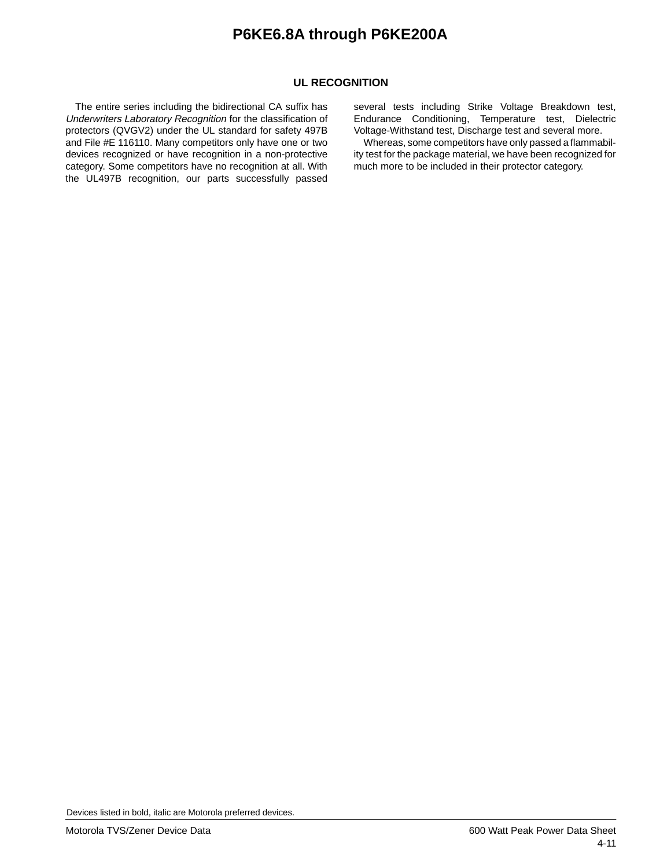## **UL RECOGNITION**

The entire series including the bidirectional CA suffix has Underwriters Laboratory Recognition for the classification of protectors (QVGV2) under the UL standard for safety 497B and File #E 116110. Many competitors only have one or two devices recognized or have recognition in a non-protective category. Some competitors have no recognition at all. With the UL497B recognition, our parts successfully passed

several tests including Strike Voltage Breakdown test, Endurance Conditioning, Temperature test, Dielectric Voltage-Withstand test, Discharge test and several more.

Whereas, some competitors have only passed a flammability test for the package material, we have been recognized for much more to be included in their protector category.

Devices listed in bold, italic are Motorola preferred devices.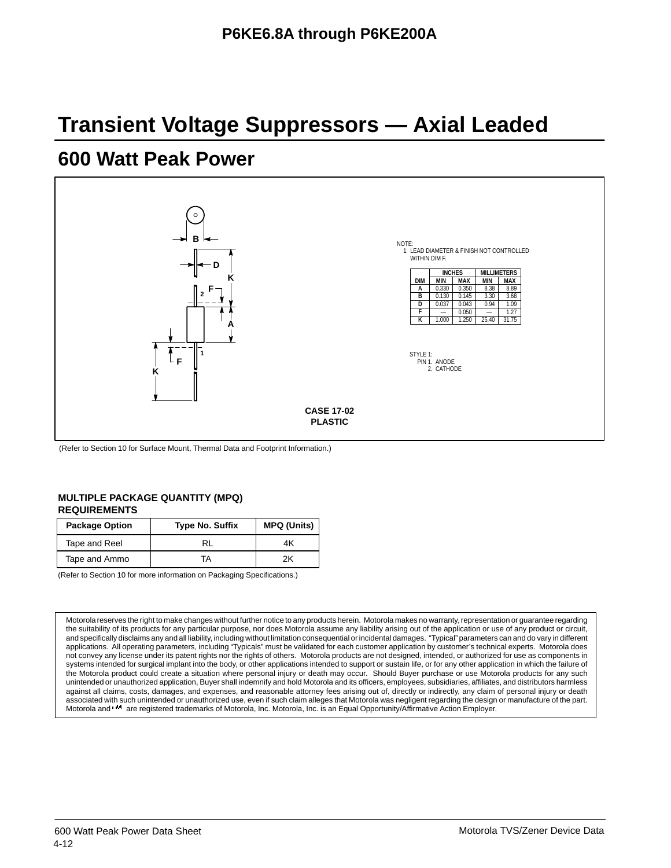# **Transient Voltage Suppressors — Axial Leaded**

# **600 Watt Peak Power**



(Refer to Section 10 for Surface Mount, Thermal Data and Footprint Information.)

## **MULTIPLE PACKAGE QUANTITY (MPQ) REQUIREMENTS**

| <b>Package Option</b> | <b>Type No. Suffix</b> | <b>MPQ (Units)</b> |
|-----------------------|------------------------|--------------------|
| Tape and Reel         |                        | 4K                 |
| Tape and Ammo         | TA                     | 2Κ                 |

(Refer to Section 10 for more information on Packaging Specifications.)

Motorola reserves the right to make changes without further notice to any products herein. Motorola makes no warranty, representation or guarantee regarding the suitability of its products for any particular purpose, nor does Motorola assume any liability arising out of the application or use of any product or circuit, and specifically disclaims any and all liability, including without limitation consequential or incidental damages. "Typical" parameters can and do vary in different applications. All operating parameters, including "Typicals" must be validated for each customer application by customer's technical experts. Motorola does not convey any license under its patent rights nor the rights of others. Motorola products are not designed, intended, or authorized for use as components in systems intended for surgical implant into the body, or other applications intended to support or sustain life, or for any other application in which the failure of the Motorola product could create a situation where personal injury or death may occur. Should Buyer purchase or use Motorola products for any such unintended or unauthorized application, Buyer shall indemnify and hold Motorola and its officers, employees, subsidiaries, affiliates, and distributors harmless against all claims, costs, damages, and expenses, and reasonable attorney fees arising out of, directly or indirectly, any claim of personal injury or death associated with such unintended or unauthorized use, even if such claim alleges that Motorola was negligent regarding the design or manufacture of the part. Motorola and **ARC are registered trademarks of Motorola**, Inc. Motorola, Inc. is an Equal Opportunity/Affirmative Action Employer.